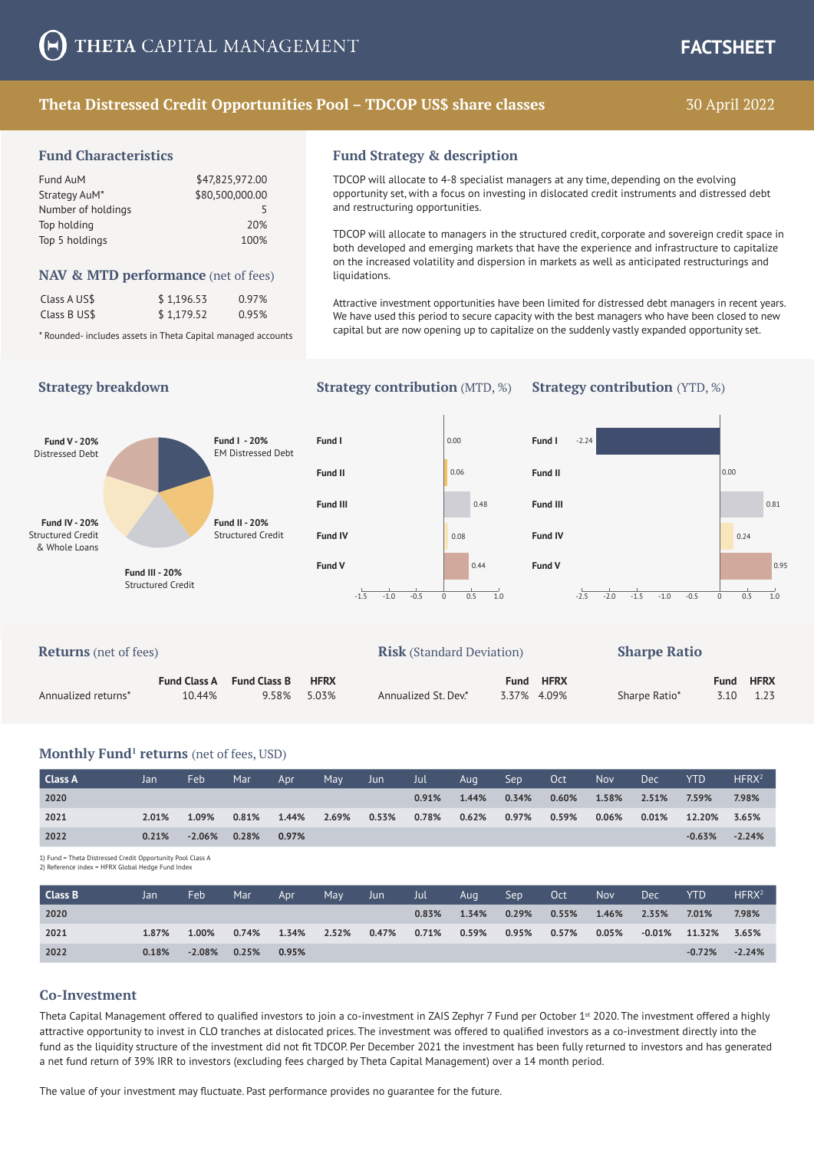## **Theta Distressed Credit Opportunities Pool – TDCOP US\$ share classes**

# 30 April 2022

#### **Fund Characteristics**

| Fund AuM           | \$47,825,972.00 |
|--------------------|-----------------|
| Strategy AuM*      | \$80,500,000.00 |
| Number of holdings | 5               |
| Top holding        | 20%             |
| Top 5 holdings     | 100%            |
|                    |                 |

#### **NAV & MTD performance** (net of fees)

| Class A US\$ | \$1,196.53 | 0.97% |
|--------------|------------|-------|
| Class B US\$ | \$1,179.52 | 0.95% |

\* Rounded- includes assets in Theta Capital managed accounts

#### **Fund Strategy & description**

TDCOP will allocate to 4-8 specialist managers at any time, depending on the evolving opportunity set, with a focus on investing in dislocated credit instruments and distressed debt and restructuring opportunities.

TDCOP will allocate to managers in the structured credit, corporate and sovereign credit space in both developed and emerging markets that have the experience and infrastructure to capitalize on the increased volatility and dispersion in markets as well as anticipated restructurings and liquidations.

Attractive investment opportunities have been limited for distressed debt managers in recent years. We have used this period to secure capacity with the best managers who have been closed to new capital but are now opening up to capitalize on the suddenly vastly expanded opportunity set.

#### **Strategy breakdown Strategy contribution** (MTD, %) **Strategy contribution** (YTD, %)



| <b>Returns</b> (net of fees) |                               |                              |                      | <b>Risk</b> (Standard Deviation) |      |                            | <b>Sharpe Ratio</b> |      |                          |
|------------------------------|-------------------------------|------------------------------|----------------------|----------------------------------|------|----------------------------|---------------------|------|--------------------------|
| Annualized returns*          | <b>Fund Class A</b><br>10.44% | <b>Fund Class B</b><br>9.58% | <b>HFRX</b><br>5.03% | Annualized St. Dev.*             | Fund | <b>HFRX</b><br>3.37% 4.09% | Sharpe Ratio*       | Fund | <b>HFRX</b><br>3.10 1.23 |

#### **Monthly Fund<sup>1</sup> returns** (net of fees, USD)

| Class A | Jan   | Feb             | Mar   | Apr   | May   | Jun   | Jul   | Aug   | Sep   | Oct      | <b>Nov</b> | <b>Dec</b> | <b>YTD</b> | HFRX <sup>2</sup> |
|---------|-------|-----------------|-------|-------|-------|-------|-------|-------|-------|----------|------------|------------|------------|-------------------|
| 2020    |       |                 |       |       |       |       | 0.91% | 1.44% | 0.34% | $0.60\%$ | 1.58%      | 2.51%      | 7.59%      | 7.98%             |
| 2021    | 2.01% | 1.09%           | 0.81% | 1.44% | 2.69% | 0.53% | 0.78% | 0.62% | 0.97% | 0.59%    | $0.06\%$   | $0.01\%$   | 12.20%     | 3.65%             |
| 2022    | 0.21% | $-2.06\%$ 0.28% |       | 0.97% |       |       |       |       |       |          |            |            | $-0.63%$   | $-2.24%$          |

1) Fund = Theta Distressed Credit Opportunity Pool Class A

|  |  |  | 2) Reference index = HFRX Global Hedge Fund Index |  |
|--|--|--|---------------------------------------------------|--|

| Class B | Jan   | Feb             | Mar   | Apr   | May   | Jun   | Jul   | Aug   | Sep   | Oct      | <b>Nov</b> | <b>Dec</b> | <b>YTD</b>             | HFRX <sup>2</sup> |
|---------|-------|-----------------|-------|-------|-------|-------|-------|-------|-------|----------|------------|------------|------------------------|-------------------|
| 2020    |       |                 |       |       |       |       | 0.83% | 1.34% | 0.29% | 0.55%    | 1.46%      | 2.35%      | 7.01%                  | 7.98%             |
| 2021    | 1.87% | 1.00%           | 0.74% | 1.34% | 2.52% | 0.47% | 0.71% | 0.59% | 0.95% | $0.57\%$ | $0.05\%$   |            | $-0.01\%$ 11.32% 3.65% |                   |
| 2022    | 0.18% | $-2.08\%$ 0.25% |       | 0.95% |       |       |       |       |       |          |            |            | $-0.72%$               | $-2.24%$          |

#### **Co-Investment**

Theta Capital Management offered to qualified investors to join a co-investment in ZAIS Zephyr 7 Fund per October 1<sup>st</sup> 2020. The investment offered a highly attractive opportunity to invest in CLO tranches at dislocated prices. The investment was offered to qualified investors as a co-investment directly into the fund as the liquidity structure of the investment did not fit TDCOP. Per December 2021 the investment has been fully returned to investors and has generated a net fund return of 39% IRR to investors (excluding fees charged by Theta Capital Management) over a 14 month period.

The value of your investment may fluctuate. Past performance provides no guarantee for the future.